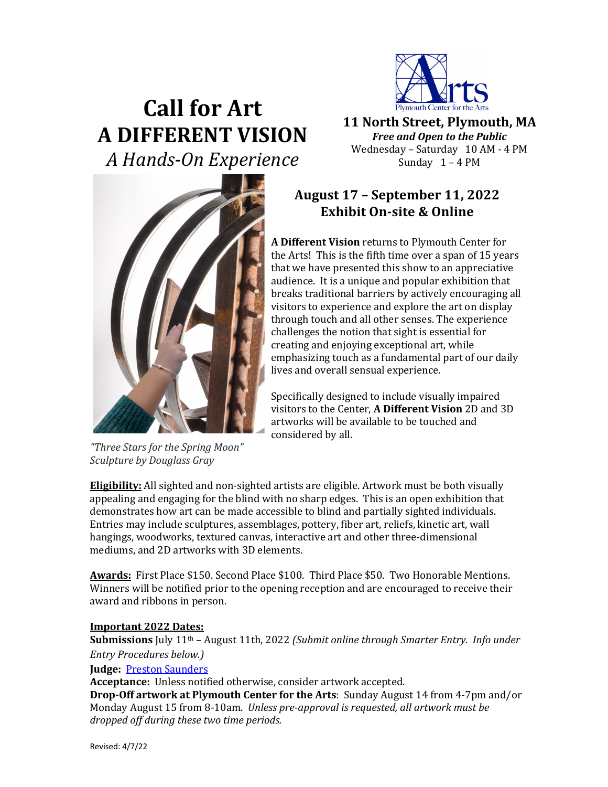

# **Call for Art A DIFFERENT VISION** *A Hands-On Experience*

**11 North Street, Plymouth, MA** *Free and Open to the Public* Wednesday - Saturday 10 AM - 4 PM Sunday  $1 - 4$  PM

# **August 17 – September 11, 2022 Exhibit On-site & Online**

A Different Vision returns to Plymouth Center for the Arts! This is the fifth time over a span of 15 years that we have presented this show to an appreciative audience. It is a unique and popular exhibition that breaks traditional barriers by actively encouraging all visitors to experience and explore the art on display through touch and all other senses. The experience challenges the notion that sight is essential for creating and enjoying exceptional art, while emphasizing touch as a fundamental part of our daily lives and overall sensual experience.

Specifically designed to include visually impaired visitors to the Center, A Different Vision 2D and 3D artworks will be available to be touched and considered by all.

**Eligibility:** All sighted and non-sighted artists are eligible. Artwork must be both visually appealing and engaging for the blind with no sharp edges. This is an open exhibition that demonstrates how art can be made accessible to blind and partially sighted individuals. Entries may include sculptures, assemblages, pottery, fiber art, reliefs, kinetic art, wall hangings, woodworks, textured canvas, interactive art and other three-dimensional mediums, and 2D artworks with 3D elements.

Awards: First Place \$150. Second Place \$100. Third Place \$50. Two Honorable Mentions. Winners will be notified prior to the opening reception and are encouraged to receive their award and ribbons in person.

# **Important 2022 Dates:**

**Submissions** July 11<sup>th</sup> – August 11th, 2022 *(Submit online through Smarter Entry. Info under Entry Procedures below.)* 

# **Judge: Preston Saunders**

Acceptance: Unless notified otherwise, consider artwork accepted.

**Drop-Off artwork at Plymouth Center for the Arts:** Sunday August 14 from 4-7pm and/or Monday August 15 from 8-10am. *Unless pre-approval is requested, all artwork must be* dropped off during these two time periods.

*"Three Stars for the Spring Moon"*

*Sculpture by Douglass Gray*